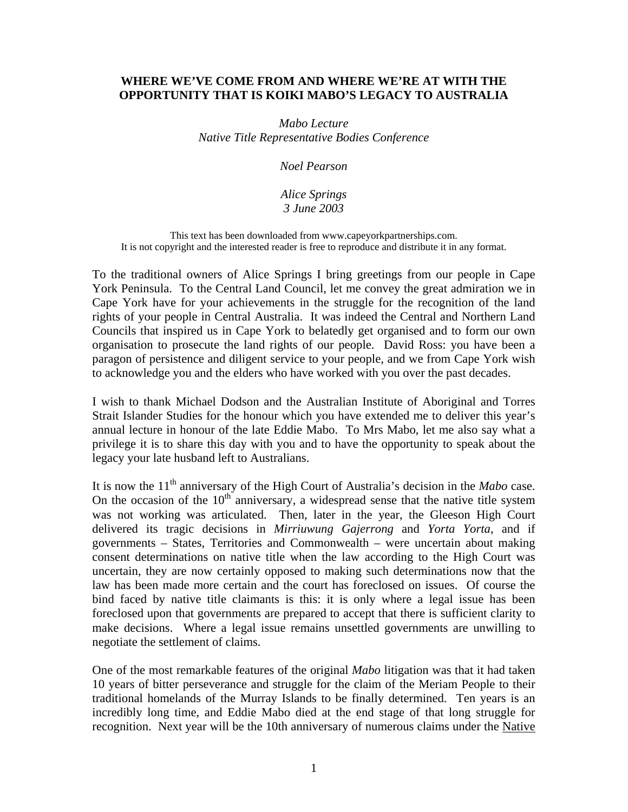#### **WHERE WE'VE COME FROM AND WHERE WE'RE AT WITH THE OPPORTUNITY THAT IS KOIKI MABO'S LEGACY TO AUSTRALIA**

*Mabo Lecture Native Title Representative Bodies Conference* 

*Noel Pearson* 

*Alice Springs 3 June 2003*

This text has been downloaded from www.capeyorkpartnerships.com. It is not copyright and the interested reader is free to reproduce and distribute it in any format.

To the traditional owners of Alice Springs I bring greetings from our people in Cape York Peninsula. To the Central Land Council, let me convey the great admiration we in Cape York have for your achievements in the struggle for the recognition of the land rights of your people in Central Australia. It was indeed the Central and Northern Land Councils that inspired us in Cape York to belatedly get organised and to form our own organisation to prosecute the land rights of our people. David Ross: you have been a paragon of persistence and diligent service to your people, and we from Cape York wish to acknowledge you and the elders who have worked with you over the past decades.

I wish to thank Michael Dodson and the Australian Institute of Aboriginal and Torres Strait Islander Studies for the honour which you have extended me to deliver this year's annual lecture in honour of the late Eddie Mabo. To Mrs Mabo, let me also say what a privilege it is to share this day with you and to have the opportunity to speak about the legacy your late husband left to Australians.

It is now the 11th anniversary of the High Court of Australia's decision in the *Mabo* case. On the occasion of the  $10<sup>th</sup>$  anniversary, a widespread sense that the native title system was not working was articulated. Then, later in the year, the Gleeson High Court delivered its tragic decisions in *Mirriuwung Gajerrong* and *Yorta Yorta*, and if governments – States, Territories and Commonwealth – were uncertain about making consent determinations on native title when the law according to the High Court was uncertain, they are now certainly opposed to making such determinations now that the law has been made more certain and the court has foreclosed on issues. Of course the bind faced by native title claimants is this: it is only where a legal issue has been foreclosed upon that governments are prepared to accept that there is sufficient clarity to make decisions. Where a legal issue remains unsettled governments are unwilling to negotiate the settlement of claims.

One of the most remarkable features of the original *Mabo* litigation was that it had taken 10 years of bitter perseverance and struggle for the claim of the Meriam People to their traditional homelands of the Murray Islands to be finally determined. Ten years is an incredibly long time, and Eddie Mabo died at the end stage of that long struggle for recognition. Next year will be the 10th anniversary of numerous claims under the Native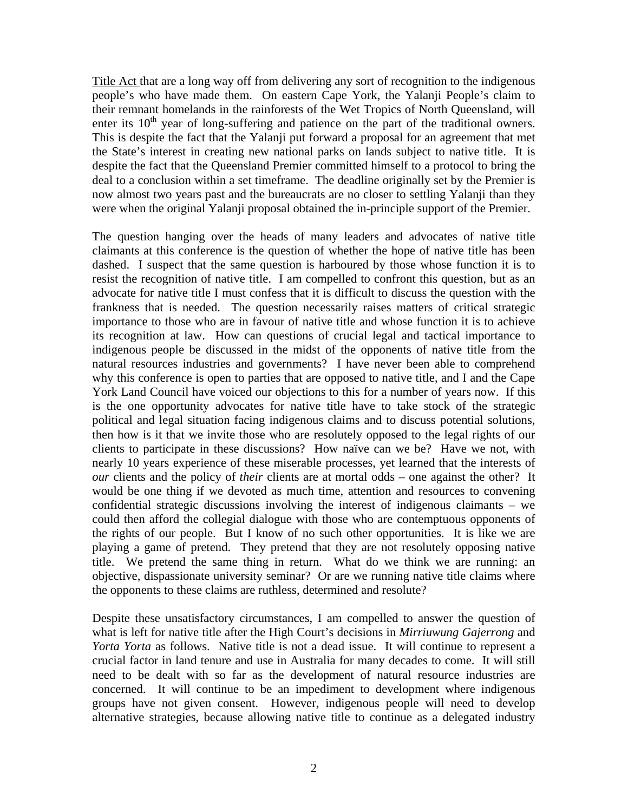Title Act that are a long way off from delivering any sort of recognition to the indigenous people's who have made them. On eastern Cape York, the Yalanji People's claim to their remnant homelands in the rainforests of the Wet Tropics of North Queensland, will enter its  $10<sup>th</sup>$  year of long-suffering and patience on the part of the traditional owners. This is despite the fact that the Yalanji put forward a proposal for an agreement that met the State's interest in creating new national parks on lands subject to native title. It is despite the fact that the Queensland Premier committed himself to a protocol to bring the deal to a conclusion within a set timeframe. The deadline originally set by the Premier is now almost two years past and the bureaucrats are no closer to settling Yalanji than they were when the original Yalanji proposal obtained the in-principle support of the Premier.

The question hanging over the heads of many leaders and advocates of native title claimants at this conference is the question of whether the hope of native title has been dashed. I suspect that the same question is harboured by those whose function it is to resist the recognition of native title. I am compelled to confront this question, but as an advocate for native title I must confess that it is difficult to discuss the question with the frankness that is needed. The question necessarily raises matters of critical strategic importance to those who are in favour of native title and whose function it is to achieve its recognition at law. How can questions of crucial legal and tactical importance to indigenous people be discussed in the midst of the opponents of native title from the natural resources industries and governments? I have never been able to comprehend why this conference is open to parties that are opposed to native title, and I and the Cape York Land Council have voiced our objections to this for a number of years now. If this is the one opportunity advocates for native title have to take stock of the strategic political and legal situation facing indigenous claims and to discuss potential solutions, then how is it that we invite those who are resolutely opposed to the legal rights of our clients to participate in these discussions? How naïve can we be? Have we not, with nearly 10 years experience of these miserable processes, yet learned that the interests of *our* clients and the policy of *their* clients are at mortal odds – one against the other? It would be one thing if we devoted as much time, attention and resources to convening confidential strategic discussions involving the interest of indigenous claimants – we could then afford the collegial dialogue with those who are contemptuous opponents of the rights of our people. But I know of no such other opportunities. It is like we are playing a game of pretend. They pretend that they are not resolutely opposing native title. We pretend the same thing in return. What do we think we are running: an objective, dispassionate university seminar? Or are we running native title claims where the opponents to these claims are ruthless, determined and resolute?

Despite these unsatisfactory circumstances, I am compelled to answer the question of what is left for native title after the High Court's decisions in *Mirriuwung Gajerrong* and *Yorta Yorta* as follows. Native title is not a dead issue. It will continue to represent a crucial factor in land tenure and use in Australia for many decades to come. It will still need to be dealt with so far as the development of natural resource industries are concerned. It will continue to be an impediment to development where indigenous groups have not given consent. However, indigenous people will need to develop alternative strategies, because allowing native title to continue as a delegated industry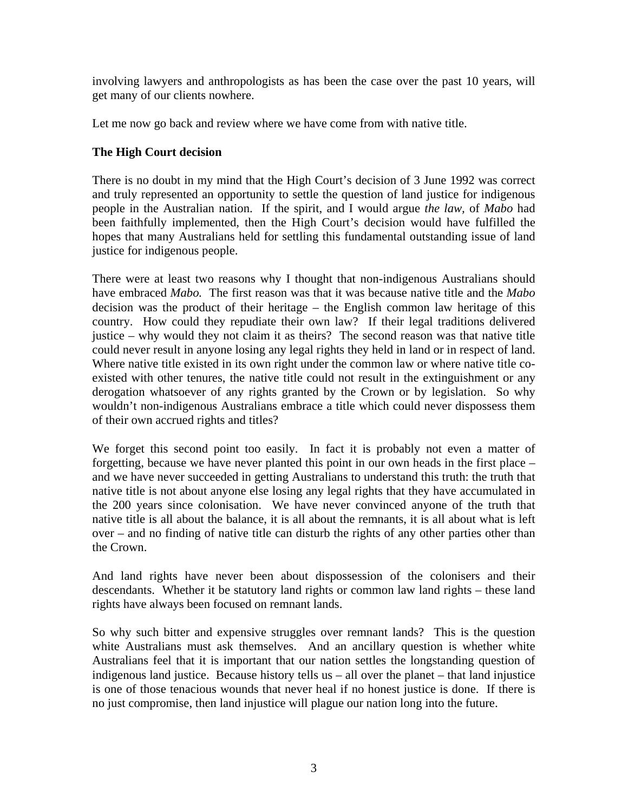involving lawyers and anthropologists as has been the case over the past 10 years, will get many of our clients nowhere.

Let me now go back and review where we have come from with native title.

# **The High Court decision**

There is no doubt in my mind that the High Court's decision of 3 June 1992 was correct and truly represented an opportunity to settle the question of land justice for indigenous people in the Australian nation. If the spirit, and I would argue *the law,* of *Mabo* had been faithfully implemented, then the High Court's decision would have fulfilled the hopes that many Australians held for settling this fundamental outstanding issue of land justice for indigenous people.

There were at least two reasons why I thought that non-indigenous Australians should have embraced *Mabo.* The first reason was that it was because native title and the *Mabo*  decision was the product of their heritage – the English common law heritage of this country. How could they repudiate their own law? If their legal traditions delivered justice – why would they not claim it as theirs? The second reason was that native title could never result in anyone losing any legal rights they held in land or in respect of land. Where native title existed in its own right under the common law or where native title coexisted with other tenures, the native title could not result in the extinguishment or any derogation whatsoever of any rights granted by the Crown or by legislation. So why wouldn't non-indigenous Australians embrace a title which could never dispossess them of their own accrued rights and titles?

We forget this second point too easily. In fact it is probably not even a matter of forgetting, because we have never planted this point in our own heads in the first place – and we have never succeeded in getting Australians to understand this truth: the truth that native title is not about anyone else losing any legal rights that they have accumulated in the 200 years since colonisation. We have never convinced anyone of the truth that native title is all about the balance, it is all about the remnants, it is all about what is left over – and no finding of native title can disturb the rights of any other parties other than the Crown.

And land rights have never been about dispossession of the colonisers and their descendants. Whether it be statutory land rights or common law land rights – these land rights have always been focused on remnant lands.

So why such bitter and expensive struggles over remnant lands? This is the question white Australians must ask themselves. And an ancillary question is whether white Australians feel that it is important that our nation settles the longstanding question of indigenous land justice. Because history tells us – all over the planet – that land injustice is one of those tenacious wounds that never heal if no honest justice is done. If there is no just compromise, then land injustice will plague our nation long into the future.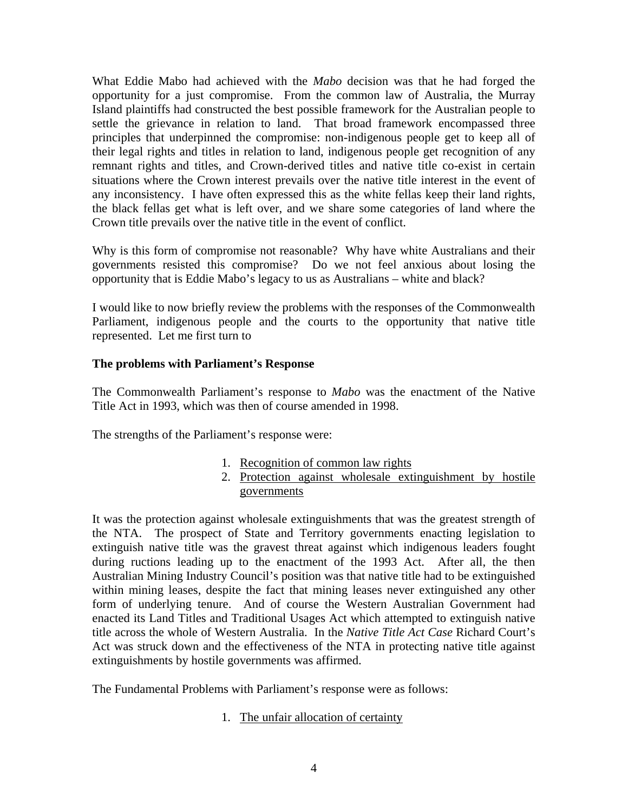What Eddie Mabo had achieved with the *Mabo* decision was that he had forged the opportunity for a just compromise. From the common law of Australia, the Murray Island plaintiffs had constructed the best possible framework for the Australian people to settle the grievance in relation to land. That broad framework encompassed three principles that underpinned the compromise: non-indigenous people get to keep all of their legal rights and titles in relation to land, indigenous people get recognition of any remnant rights and titles, and Crown-derived titles and native title co-exist in certain situations where the Crown interest prevails over the native title interest in the event of any inconsistency. I have often expressed this as the white fellas keep their land rights, the black fellas get what is left over, and we share some categories of land where the Crown title prevails over the native title in the event of conflict.

Why is this form of compromise not reasonable? Why have white Australians and their governments resisted this compromise? Do we not feel anxious about losing the opportunity that is Eddie Mabo's legacy to us as Australians – white and black?

I would like to now briefly review the problems with the responses of the Commonwealth Parliament, indigenous people and the courts to the opportunity that native title represented. Let me first turn to

# **The problems with Parliament's Response**

The Commonwealth Parliament's response to *Mabo* was the enactment of the Native Title Act in 1993, which was then of course amended in 1998.

The strengths of the Parliament's response were:

- 1. Recognition of common law rights
- 2. Protection against wholesale extinguishment by hostile governments

It was the protection against wholesale extinguishments that was the greatest strength of the NTA. The prospect of State and Territory governments enacting legislation to extinguish native title was the gravest threat against which indigenous leaders fought during ructions leading up to the enactment of the 1993 Act. After all, the then Australian Mining Industry Council's position was that native title had to be extinguished within mining leases, despite the fact that mining leases never extinguished any other form of underlying tenure. And of course the Western Australian Government had enacted its Land Titles and Traditional Usages Act which attempted to extinguish native title across the whole of Western Australia. In the *Native Title Act Case* Richard Court's Act was struck down and the effectiveness of the NTA in protecting native title against extinguishments by hostile governments was affirmed.

The Fundamental Problems with Parliament's response were as follows:

# 1. The unfair allocation of certainty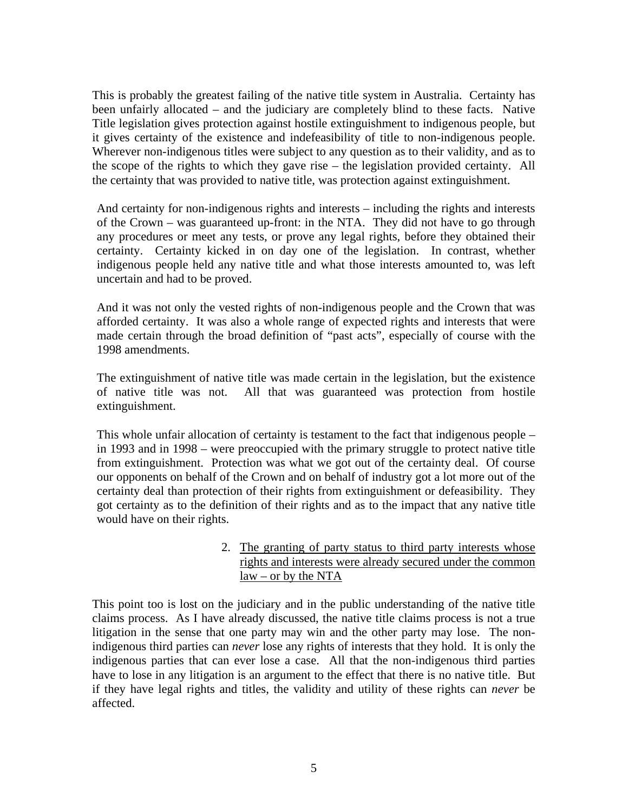This is probably the greatest failing of the native title system in Australia. Certainty has been unfairly allocated – and the judiciary are completely blind to these facts. Native Title legislation gives protection against hostile extinguishment to indigenous people, but it gives certainty of the existence and indefeasibility of title to non-indigenous people. Wherever non-indigenous titles were subject to any question as to their validity, and as to the scope of the rights to which they gave rise – the legislation provided certainty. All the certainty that was provided to native title, was protection against extinguishment.

And certainty for non-indigenous rights and interests – including the rights and interests of the Crown – was guaranteed up-front: in the NTA. They did not have to go through any procedures or meet any tests, or prove any legal rights, before they obtained their certainty. Certainty kicked in on day one of the legislation. In contrast, whether indigenous people held any native title and what those interests amounted to, was left uncertain and had to be proved.

And it was not only the vested rights of non-indigenous people and the Crown that was afforded certainty. It was also a whole range of expected rights and interests that were made certain through the broad definition of "past acts", especially of course with the 1998 amendments.

The extinguishment of native title was made certain in the legislation, but the existence of native title was not. All that was guaranteed was protection from hostile extinguishment.

This whole unfair allocation of certainty is testament to the fact that indigenous people – in 1993 and in 1998 – were preoccupied with the primary struggle to protect native title from extinguishment. Protection was what we got out of the certainty deal. Of course our opponents on behalf of the Crown and on behalf of industry got a lot more out of the certainty deal than protection of their rights from extinguishment or defeasibility. They got certainty as to the definition of their rights and as to the impact that any native title would have on their rights.

### 2. The granting of party status to third party interests whose rights and interests were already secured under the common law – or by the NTA

This point too is lost on the judiciary and in the public understanding of the native title claims process. As I have already discussed, the native title claims process is not a true litigation in the sense that one party may win and the other party may lose. The nonindigenous third parties can *never* lose any rights of interests that they hold. It is only the indigenous parties that can ever lose a case. All that the non-indigenous third parties have to lose in any litigation is an argument to the effect that there is no native title. But if they have legal rights and titles, the validity and utility of these rights can *never* be affected.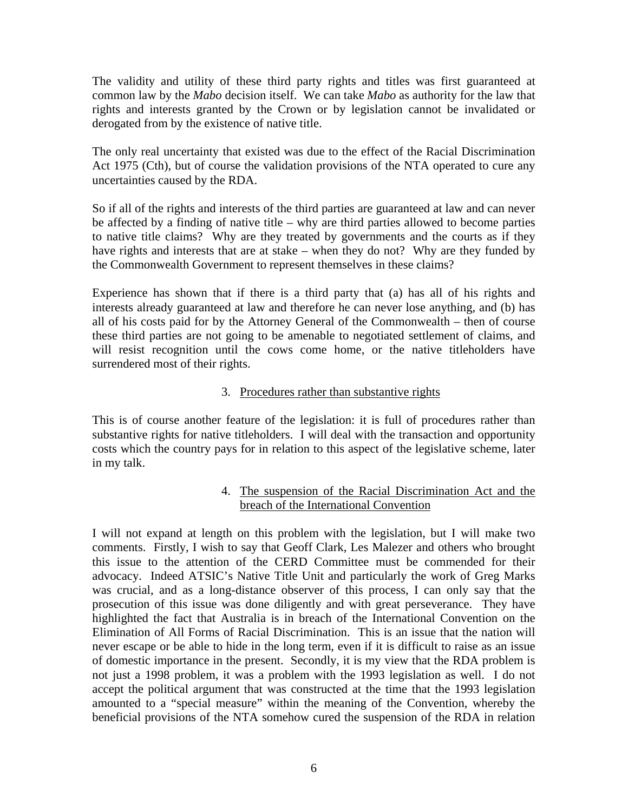The validity and utility of these third party rights and titles was first guaranteed at common law by the *Mabo* decision itself. We can take *Mabo* as authority for the law that rights and interests granted by the Crown or by legislation cannot be invalidated or derogated from by the existence of native title.

The only real uncertainty that existed was due to the effect of the Racial Discrimination Act 1975 (Cth), but of course the validation provisions of the NTA operated to cure any uncertainties caused by the RDA.

So if all of the rights and interests of the third parties are guaranteed at law and can never be affected by a finding of native title – why are third parties allowed to become parties to native title claims? Why are they treated by governments and the courts as if they have rights and interests that are at stake – when they do not? Why are they funded by the Commonwealth Government to represent themselves in these claims?

Experience has shown that if there is a third party that (a) has all of his rights and interests already guaranteed at law and therefore he can never lose anything, and (b) has all of his costs paid for by the Attorney General of the Commonwealth – then of course these third parties are not going to be amenable to negotiated settlement of claims, and will resist recognition until the cows come home, or the native titleholders have surrendered most of their rights.

# 3. Procedures rather than substantive rights

This is of course another feature of the legislation: it is full of procedures rather than substantive rights for native titleholders. I will deal with the transaction and opportunity costs which the country pays for in relation to this aspect of the legislative scheme, later in my talk.

# 4. The suspension of the Racial Discrimination Act and the breach of the International Convention

I will not expand at length on this problem with the legislation, but I will make two comments. Firstly, I wish to say that Geoff Clark, Les Malezer and others who brought this issue to the attention of the CERD Committee must be commended for their advocacy. Indeed ATSIC's Native Title Unit and particularly the work of Greg Marks was crucial, and as a long-distance observer of this process, I can only say that the prosecution of this issue was done diligently and with great perseverance. They have highlighted the fact that Australia is in breach of the International Convention on the Elimination of All Forms of Racial Discrimination. This is an issue that the nation will never escape or be able to hide in the long term, even if it is difficult to raise as an issue of domestic importance in the present. Secondly, it is my view that the RDA problem is not just a 1998 problem, it was a problem with the 1993 legislation as well. I do not accept the political argument that was constructed at the time that the 1993 legislation amounted to a "special measure" within the meaning of the Convention, whereby the beneficial provisions of the NTA somehow cured the suspension of the RDA in relation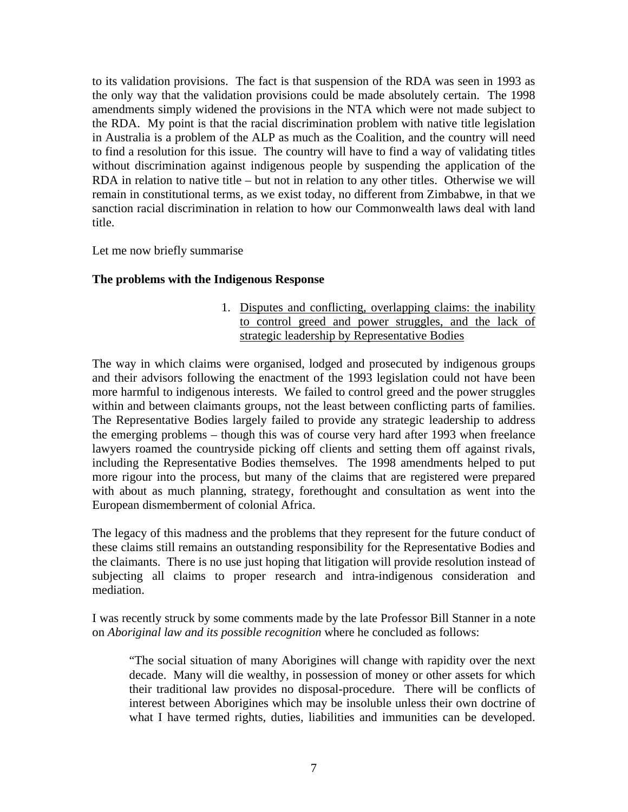to its validation provisions. The fact is that suspension of the RDA was seen in 1993 as the only way that the validation provisions could be made absolutely certain. The 1998 amendments simply widened the provisions in the NTA which were not made subject to the RDA. My point is that the racial discrimination problem with native title legislation in Australia is a problem of the ALP as much as the Coalition, and the country will need to find a resolution for this issue. The country will have to find a way of validating titles without discrimination against indigenous people by suspending the application of the RDA in relation to native title – but not in relation to any other titles. Otherwise we will remain in constitutional terms, as we exist today, no different from Zimbabwe, in that we sanction racial discrimination in relation to how our Commonwealth laws deal with land title.

Let me now briefly summarise

# **The problems with the Indigenous Response**

1. Disputes and conflicting, overlapping claims: the inability to control greed and power struggles, and the lack of strategic leadership by Representative Bodies

The way in which claims were organised, lodged and prosecuted by indigenous groups and their advisors following the enactment of the 1993 legislation could not have been more harmful to indigenous interests. We failed to control greed and the power struggles within and between claimants groups, not the least between conflicting parts of families. The Representative Bodies largely failed to provide any strategic leadership to address the emerging problems – though this was of course very hard after 1993 when freelance lawyers roamed the countryside picking off clients and setting them off against rivals, including the Representative Bodies themselves. The 1998 amendments helped to put more rigour into the process, but many of the claims that are registered were prepared with about as much planning, strategy, forethought and consultation as went into the European dismemberment of colonial Africa.

The legacy of this madness and the problems that they represent for the future conduct of these claims still remains an outstanding responsibility for the Representative Bodies and the claimants. There is no use just hoping that litigation will provide resolution instead of subjecting all claims to proper research and intra-indigenous consideration and mediation.

I was recently struck by some comments made by the late Professor Bill Stanner in a note on *Aboriginal law and its possible recognition* where he concluded as follows:

"The social situation of many Aborigines will change with rapidity over the next decade. Many will die wealthy, in possession of money or other assets for which their traditional law provides no disposal-procedure. There will be conflicts of interest between Aborigines which may be insoluble unless their own doctrine of what I have termed rights, duties, liabilities and immunities can be developed.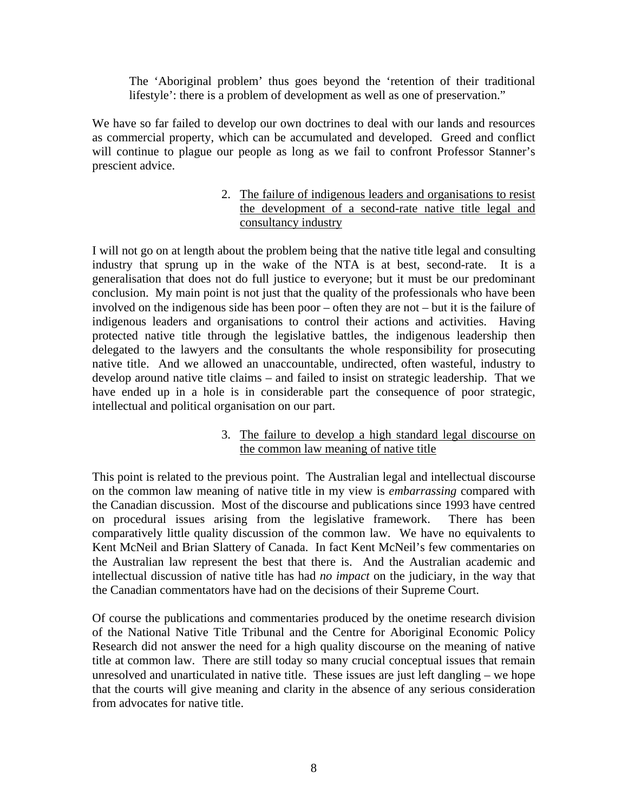The 'Aboriginal problem' thus goes beyond the 'retention of their traditional lifestyle': there is a problem of development as well as one of preservation."

We have so far failed to develop our own doctrines to deal with our lands and resources as commercial property, which can be accumulated and developed. Greed and conflict will continue to plague our people as long as we fail to confront Professor Stanner's prescient advice.

### 2. The failure of indigenous leaders and organisations to resist the development of a second-rate native title legal and consultancy industry

I will not go on at length about the problem being that the native title legal and consulting industry that sprung up in the wake of the NTA is at best, second-rate. It is a generalisation that does not do full justice to everyone; but it must be our predominant conclusion. My main point is not just that the quality of the professionals who have been involved on the indigenous side has been poor – often they are not – but it is the failure of indigenous leaders and organisations to control their actions and activities. Having protected native title through the legislative battles, the indigenous leadership then delegated to the lawyers and the consultants the whole responsibility for prosecuting native title. And we allowed an unaccountable, undirected, often wasteful, industry to develop around native title claims – and failed to insist on strategic leadership. That we have ended up in a hole is in considerable part the consequence of poor strategic, intellectual and political organisation on our part.

### 3. The failure to develop a high standard legal discourse on the common law meaning of native title

This point is related to the previous point. The Australian legal and intellectual discourse on the common law meaning of native title in my view is *embarrassing* compared with the Canadian discussion. Most of the discourse and publications since 1993 have centred on procedural issues arising from the legislative framework. There has been comparatively little quality discussion of the common law. We have no equivalents to Kent McNeil and Brian Slattery of Canada. In fact Kent McNeil's few commentaries on the Australian law represent the best that there is. And the Australian academic and intellectual discussion of native title has had *no impact* on the judiciary, in the way that the Canadian commentators have had on the decisions of their Supreme Court.

Of course the publications and commentaries produced by the onetime research division of the National Native Title Tribunal and the Centre for Aboriginal Economic Policy Research did not answer the need for a high quality discourse on the meaning of native title at common law. There are still today so many crucial conceptual issues that remain unresolved and unarticulated in native title. These issues are just left dangling – we hope that the courts will give meaning and clarity in the absence of any serious consideration from advocates for native title.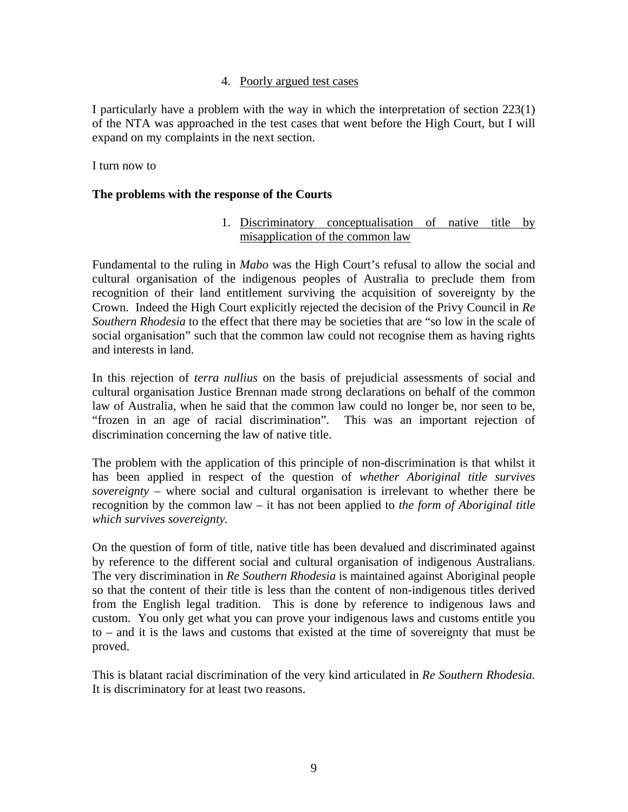#### 4. Poorly argued test cases

I particularly have a problem with the way in which the interpretation of section 223(1) of the NTA was approached in the test cases that went before the High Court, but I will expand on my complaints in the next section.

I turn now to

# **The problems with the response of the Courts**

### 1. Discriminatory conceptualisation of native title by misapplication of the common law

Fundamental to the ruling in *Mabo* was the High Court's refusal to allow the social and cultural organisation of the indigenous peoples of Australia to preclude them from recognition of their land entitlement surviving the acquisition of sovereignty by the Crown. Indeed the High Court explicitly rejected the decision of the Privy Council in *Re Southern Rhodesia* to the effect that there may be societies that are "so low in the scale of social organisation" such that the common law could not recognise them as having rights and interests in land.

In this rejection of *terra nullius* on the basis of prejudicial assessments of social and cultural organisation Justice Brennan made strong declarations on behalf of the common law of Australia, when he said that the common law could no longer be, nor seen to be, "frozen in an age of racial discrimination". This was an important rejection of discrimination concerning the law of native title.

The problem with the application of this principle of non-discrimination is that whilst it has been applied in respect of the question of *whether Aboriginal title survives sovereignty* – where social and cultural organisation is irrelevant to whether there be recognition by the common law – it has not been applied to *the form of Aboriginal title which survives sovereignty.* 

On the question of form of title, native title has been devalued and discriminated against by reference to the different social and cultural organisation of indigenous Australians. The very discrimination in *Re Southern Rhodesia* is maintained against Aboriginal people so that the content of their title is less than the content of non-indigenous titles derived from the English legal tradition. This is done by reference to indigenous laws and custom. You only get what you can prove your indigenous laws and customs entitle you to – and it is the laws and customs that existed at the time of sovereignty that must be proved.

This is blatant racial discrimination of the very kind articulated in *Re Southern Rhodesia.*  It is discriminatory for at least two reasons.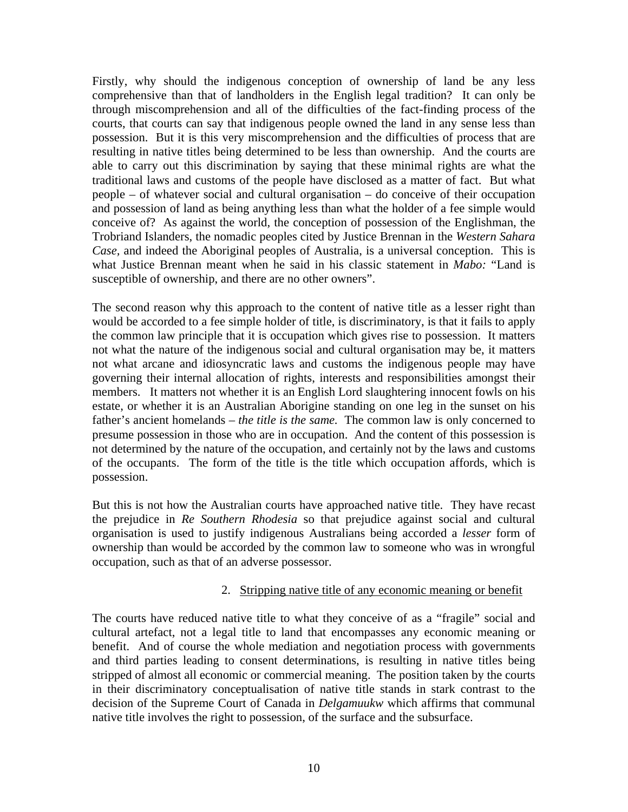Firstly, why should the indigenous conception of ownership of land be any less comprehensive than that of landholders in the English legal tradition? It can only be through miscomprehension and all of the difficulties of the fact-finding process of the courts, that courts can say that indigenous people owned the land in any sense less than possession. But it is this very miscomprehension and the difficulties of process that are resulting in native titles being determined to be less than ownership. And the courts are able to carry out this discrimination by saying that these minimal rights are what the traditional laws and customs of the people have disclosed as a matter of fact. But what people – of whatever social and cultural organisation – do conceive of their occupation and possession of land as being anything less than what the holder of a fee simple would conceive of? As against the world, the conception of possession of the Englishman, the Trobriand Islanders, the nomadic peoples cited by Justice Brennan in the *Western Sahara Case,* and indeed the Aboriginal peoples of Australia, is a universal conception. This is what Justice Brennan meant when he said in his classic statement in *Mabo:* "Land is susceptible of ownership, and there are no other owners".

The second reason why this approach to the content of native title as a lesser right than would be accorded to a fee simple holder of title, is discriminatory, is that it fails to apply the common law principle that it is occupation which gives rise to possession. It matters not what the nature of the indigenous social and cultural organisation may be, it matters not what arcane and idiosyncratic laws and customs the indigenous people may have governing their internal allocation of rights, interests and responsibilities amongst their members. It matters not whether it is an English Lord slaughtering innocent fowls on his estate, or whether it is an Australian Aborigine standing on one leg in the sunset on his father's ancient homelands – *the title is the same*. The common law is only concerned to presume possession in those who are in occupation. And the content of this possession is not determined by the nature of the occupation, and certainly not by the laws and customs of the occupants. The form of the title is the title which occupation affords, which is possession.

But this is not how the Australian courts have approached native title. They have recast the prejudice in *Re Southern Rhodesia* so that prejudice against social and cultural organisation is used to justify indigenous Australians being accorded a *lesser* form of ownership than would be accorded by the common law to someone who was in wrongful occupation, such as that of an adverse possessor.

# 2. Stripping native title of any economic meaning or benefit

The courts have reduced native title to what they conceive of as a "fragile" social and cultural artefact, not a legal title to land that encompasses any economic meaning or benefit. And of course the whole mediation and negotiation process with governments and third parties leading to consent determinations, is resulting in native titles being stripped of almost all economic or commercial meaning. The position taken by the courts in their discriminatory conceptualisation of native title stands in stark contrast to the decision of the Supreme Court of Canada in *Delgamuukw* which affirms that communal native title involves the right to possession, of the surface and the subsurface.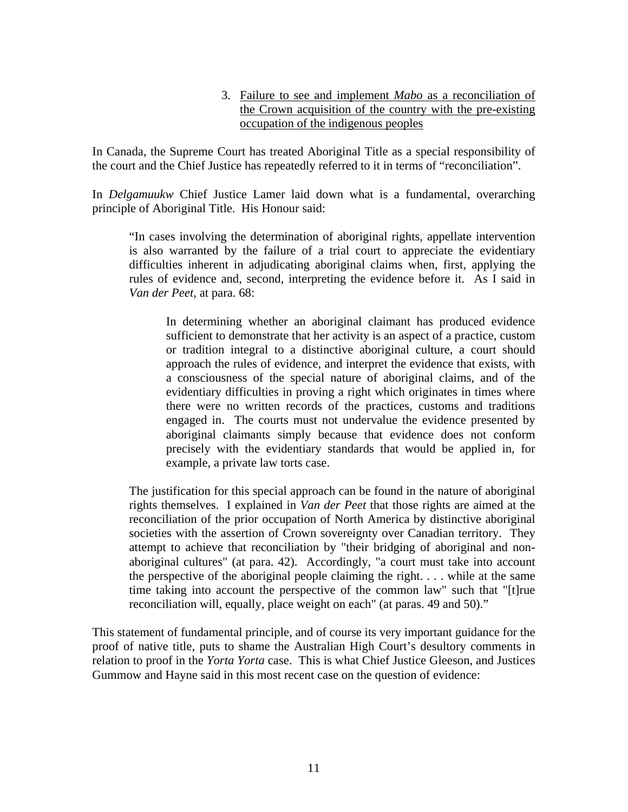3. Failure to see and implement *Mabo* as a reconciliation of the Crown acquisition of the country with the pre-existing occupation of the indigenous peoples

In Canada, the Supreme Court has treated Aboriginal Title as a special responsibility of the court and the Chief Justice has repeatedly referred to it in terms of "reconciliation".

In *Delgamuukw* Chief Justice Lamer laid down what is a fundamental, overarching principle of Aboriginal Title. His Honour said:

"In cases involving the determination of aboriginal rights, appellate intervention is also warranted by the failure of a trial court to appreciate the evidentiary difficulties inherent in adjudicating aboriginal claims when, first, applying the rules of evidence and, second, interpreting the evidence before it. As I said in *Van der Peet*, at para. 68:

In determining whether an aboriginal claimant has produced evidence sufficient to demonstrate that her activity is an aspect of a practice, custom or tradition integral to a distinctive aboriginal culture, a court should approach the rules of evidence, and interpret the evidence that exists, with a consciousness of the special nature of aboriginal claims, and of the evidentiary difficulties in proving a right which originates in times where there were no written records of the practices, customs and traditions engaged in. The courts must not undervalue the evidence presented by aboriginal claimants simply because that evidence does not conform precisely with the evidentiary standards that would be applied in, for example, a private law torts case.

The justification for this special approach can be found in the nature of aboriginal rights themselves. I explained in *Van der Peet* that those rights are aimed at the reconciliation of the prior occupation of North America by distinctive aboriginal societies with the assertion of Crown sovereignty over Canadian territory. They attempt to achieve that reconciliation by "their bridging of aboriginal and nonaboriginal cultures" (at para. 42). Accordingly, "a court must take into account the perspective of the aboriginal people claiming the right. . . . while at the same time taking into account the perspective of the common law" such that "[t]rue reconciliation will, equally, place weight on each" (at paras. 49 and 50)."

This statement of fundamental principle, and of course its very important guidance for the proof of native title, puts to shame the Australian High Court's desultory comments in relation to proof in the *Yorta Yorta* case. This is what Chief Justice Gleeson, and Justices Gummow and Hayne said in this most recent case on the question of evidence: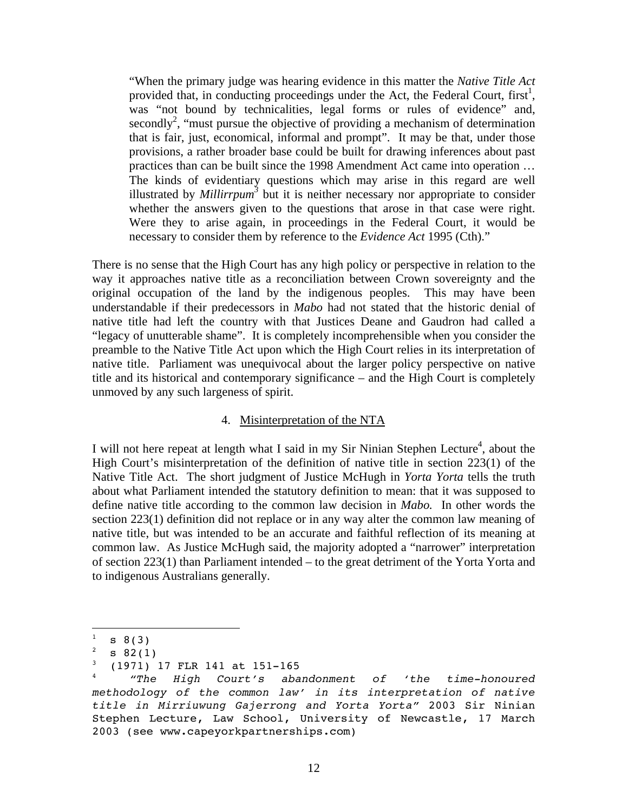"When the primary judge was hearing evidence in this matter the *Native Title Act*  provided that, in conducting proceedings under the Act, the Federal Court, first<sup>1</sup>, was "not bound by technicalities, legal forms or rules of evidence" and, secondly<sup>[2](#page-11-1)</sup>, "must pursue the objective of providing a mechanism of determination that is fair, just, economical, informal and prompt". It may be that, under those provisions, a rather broader base could be built for drawing inferences about past practices than can be built since the 1998 Amendment Act came into operation … The kinds of evidentiary questions which may arise in this regard are well illustrated by *Millirrpum [3](#page-11-2)* but it is neither necessary nor appropriate to consider whether the answers given to the questions that arose in that case were right. Were they to arise again, in proceedings in the Federal Court, it would be necessary to consider them by reference to the *Evidence Act* 1995 (Cth)."

There is no sense that the High Court has any high policy or perspective in relation to the way it approaches native title as a reconciliation between Crown sovereignty and the original occupation of the land by the indigenous peoples. This may have been understandable if their predecessors in *Mabo* had not stated that the historic denial of native title had left the country with that Justices Deane and Gaudron had called a "legacy of unutterable shame". It is completely incomprehensible when you consider the preamble to the Native Title Act upon which the High Court relies in its interpretation of native title. Parliament was unequivocal about the larger policy perspective on native title and its historical and contemporary significance – and the High Court is completely unmoved by any such largeness of spirit.

# 4. Misinterpretation of the NTA

I will not here repeat at length what I said in my Sir Ninian Stephen Lecture<sup>4</sup>, about the High Court's misinterpretation of the definition of native title in section 223(1) of the Native Title Act. The short judgment of Justice McHugh in *Yorta Yorta* tells the truth about what Parliament intended the statutory definition to mean: that it was supposed to define native title according to the common law decision in *Mabo.* In other words the section 223(1) definition did not replace or in any way alter the common law meaning of native title, but was intended to be an accurate and faithful reflection of its meaning at common law. As Justice McHugh said, the majority adopted a "narrower" interpretation of section 223(1) than Parliament intended – to the great detriment of the Yorta Yorta and to indigenous Australians generally.

<span id="page-11-0"></span> $\frac{1}{1}$  $\frac{1}{2}$  s 8(3)

<span id="page-11-1"></span>s 82(1)

<span id="page-11-2"></span><sup>3</sup>  $(1971)$  17 FLR 141 at 151-165

<span id="page-11-3"></span>*"The High Court's abandonment of 'the time-honoured methodology of the common law' in its interpretation of native title in Mirriuwung Gajerrong and Yorta Yorta"* 2003 Sir Ninian Stephen Lecture, Law School, University of Newcastle, 17 March 2003 (see www.capeyorkpartnerships.com)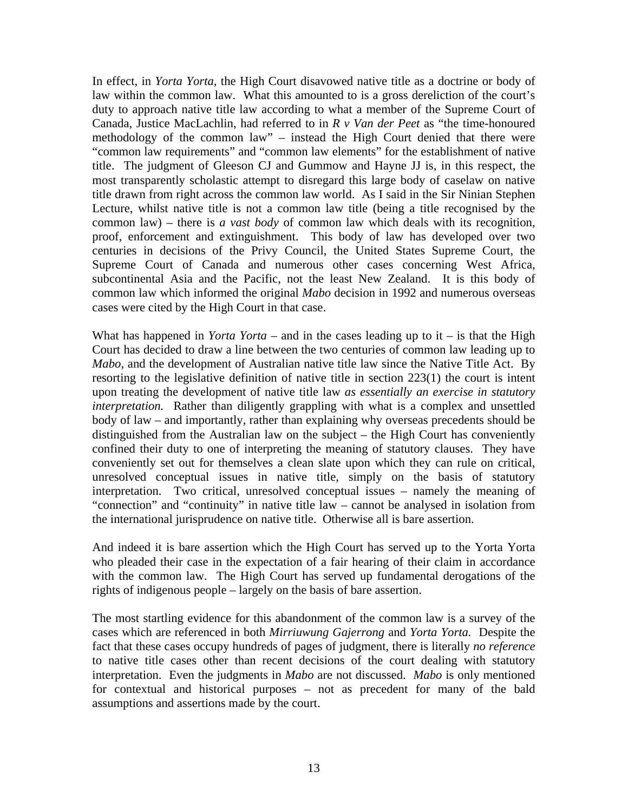In effect, in *Yorta Yorta,* the High Court disavowed native title as a doctrine or body of law within the common law. What this amounted to is a gross dereliction of the court's duty to approach native title law according to what a member of the Supreme Court of Canada, Justice MacLachlin, had referred to in *R v Van der Peet* as "the time-honoured methodology of the common law" – instead the High Court denied that there were "common law requirements" and "common law elements" for the establishment of native title. The judgment of Gleeson CJ and Gummow and Hayne JJ is, in this respect, the most transparently scholastic attempt to disregard this large body of caselaw on native title drawn from right across the common law world. As I said in the Sir Ninian Stephen Lecture, whilst native title is not a common law title (being a title recognised by the common law) – there is *a vast body* of common law which deals with its recognition, proof, enforcement and extinguishment. This body of law has developed over two centuries in decisions of the Privy Council, the United States Supreme Court, the Supreme Court of Canada and numerous other cases concerning West Africa, subcontinental Asia and the Pacific, not the least New Zealand. It is this body of common law which informed the original *Mabo* decision in 1992 and numerous overseas cases were cited by the High Court in that case.

What has happened in *Yorta Yorta* – and in the cases leading up to it – is that the High Court has decided to draw a line between the two centuries of common law leading up to *Mabo,* and the development of Australian native title law since the Native Title Act. By resorting to the legislative definition of native title in section 223(1) the court is intent upon treating the development of native title law *as essentially an exercise in statutory interpretation.* Rather than diligently grappling with what is a complex and unsettled body of law – and importantly, rather than explaining why overseas precedents should be distinguished from the Australian law on the subject – the High Court has conveniently confined their duty to one of interpreting the meaning of statutory clauses. They have conveniently set out for themselves a clean slate upon which they can rule on critical, unresolved conceptual issues in native title, simply on the basis of statutory interpretation. Two critical, unresolved conceptual issues – namely the meaning of "connection" and "continuity" in native title law – cannot be analysed in isolation from the international jurisprudence on native title. Otherwise all is bare assertion.

And indeed it is bare assertion which the High Court has served up to the Yorta Yorta who pleaded their case in the expectation of a fair hearing of their claim in accordance with the common law. The High Court has served up fundamental derogations of the rights of indigenous people – largely on the basis of bare assertion.

The most startling evidence for this abandonment of the common law is a survey of the cases which are referenced in both *Mirriuwung Gajerrong* and *Yorta Yorta.* Despite the fact that these cases occupy hundreds of pages of judgment, there is literally *no reference* to native title cases other than recent decisions of the court dealing with statutory interpretation. Even the judgments in *Mabo* are not discussed. *Mabo* is only mentioned for contextual and historical purposes – not as precedent for many of the bald assumptions and assertions made by the court.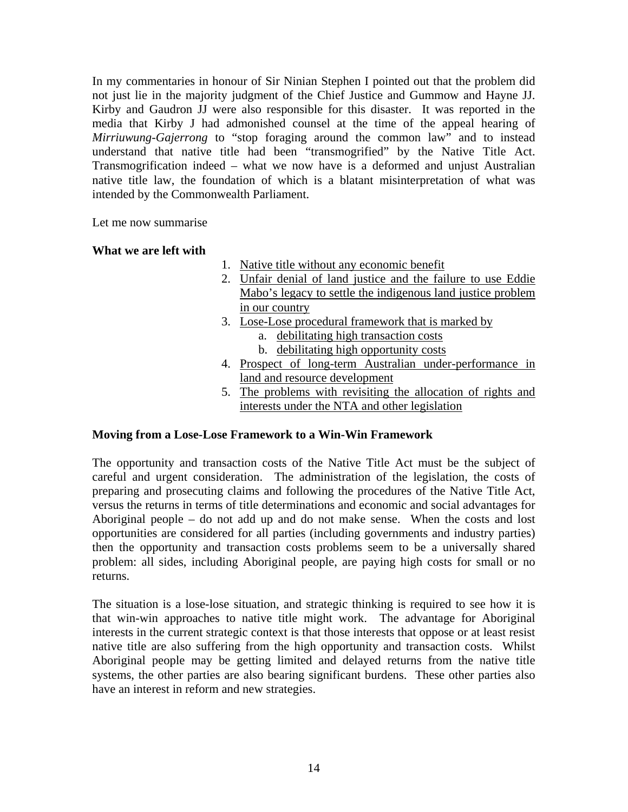In my commentaries in honour of Sir Ninian Stephen I pointed out that the problem did not just lie in the majority judgment of the Chief Justice and Gummow and Hayne JJ. Kirby and Gaudron JJ were also responsible for this disaster. It was reported in the media that Kirby J had admonished counsel at the time of the appeal hearing of *Mirriuwung-Gajerrong* to "stop foraging around the common law" and to instead understand that native title had been "transmogrified" by the Native Title Act. Transmogrification indeed – what we now have is a deformed and unjust Australian native title law, the foundation of which is a blatant misinterpretation of what was intended by the Commonwealth Parliament.

Let me now summarise

### **What we are left with**

- 1. Native title without any economic benefit
- 2. Unfair denial of land justice and the failure to use Eddie Mabo's legacy to settle the indigenous land justice problem in our country
- 3. Lose-Lose procedural framework that is marked by a. debilitating high transaction costs
	- b. debilitating high opportunity costs
- 4. Prospect of long-term Australian under-performance in land and resource development
- 5. The problems with revisiting the allocation of rights and interests under the NTA and other legislation

# **Moving from a Lose-Lose Framework to a Win-Win Framework**

The opportunity and transaction costs of the Native Title Act must be the subject of careful and urgent consideration. The administration of the legislation, the costs of preparing and prosecuting claims and following the procedures of the Native Title Act, versus the returns in terms of title determinations and economic and social advantages for Aboriginal people – do not add up and do not make sense. When the costs and lost opportunities are considered for all parties (including governments and industry parties) then the opportunity and transaction costs problems seem to be a universally shared problem: all sides, including Aboriginal people, are paying high costs for small or no returns.

The situation is a lose-lose situation, and strategic thinking is required to see how it is that win-win approaches to native title might work. The advantage for Aboriginal interests in the current strategic context is that those interests that oppose or at least resist native title are also suffering from the high opportunity and transaction costs. Whilst Aboriginal people may be getting limited and delayed returns from the native title systems, the other parties are also bearing significant burdens. These other parties also have an interest in reform and new strategies.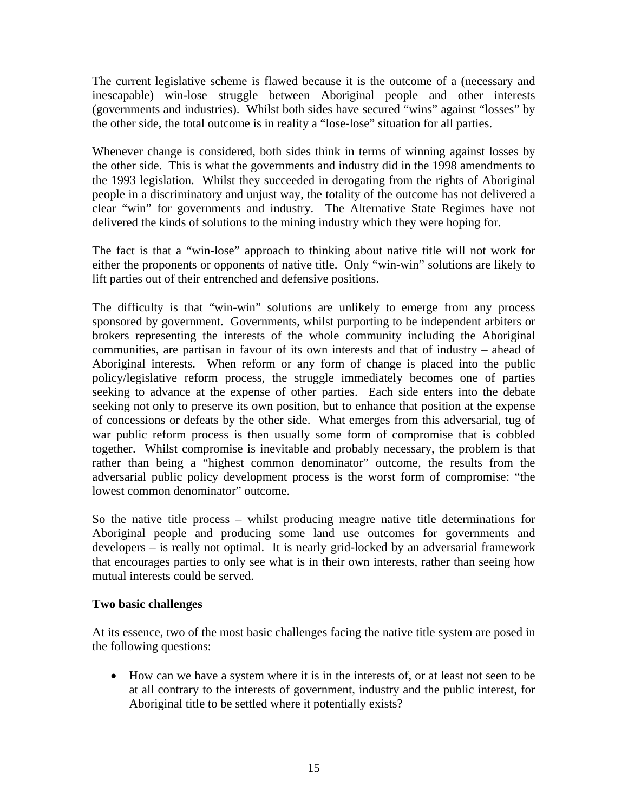The current legislative scheme is flawed because it is the outcome of a (necessary and inescapable) win-lose struggle between Aboriginal people and other interests (governments and industries). Whilst both sides have secured "wins" against "losses" by the other side, the total outcome is in reality a "lose-lose" situation for all parties.

Whenever change is considered, both sides think in terms of winning against losses by the other side. This is what the governments and industry did in the 1998 amendments to the 1993 legislation. Whilst they succeeded in derogating from the rights of Aboriginal people in a discriminatory and unjust way, the totality of the outcome has not delivered a clear "win" for governments and industry. The Alternative State Regimes have not delivered the kinds of solutions to the mining industry which they were hoping for.

The fact is that a "win-lose" approach to thinking about native title will not work for either the proponents or opponents of native title. Only "win-win" solutions are likely to lift parties out of their entrenched and defensive positions.

The difficulty is that "win-win" solutions are unlikely to emerge from any process sponsored by government. Governments, whilst purporting to be independent arbiters or brokers representing the interests of the whole community including the Aboriginal communities, are partisan in favour of its own interests and that of industry – ahead of Aboriginal interests. When reform or any form of change is placed into the public policy/legislative reform process, the struggle immediately becomes one of parties seeking to advance at the expense of other parties. Each side enters into the debate seeking not only to preserve its own position, but to enhance that position at the expense of concessions or defeats by the other side. What emerges from this adversarial, tug of war public reform process is then usually some form of compromise that is cobbled together. Whilst compromise is inevitable and probably necessary, the problem is that rather than being a "highest common denominator" outcome, the results from the adversarial public policy development process is the worst form of compromise: "the lowest common denominator" outcome.

So the native title process – whilst producing meagre native title determinations for Aboriginal people and producing some land use outcomes for governments and developers – is really not optimal. It is nearly grid-locked by an adversarial framework that encourages parties to only see what is in their own interests, rather than seeing how mutual interests could be served.

# **Two basic challenges**

At its essence, two of the most basic challenges facing the native title system are posed in the following questions:

• How can we have a system where it is in the interests of, or at least not seen to be at all contrary to the interests of government, industry and the public interest, for Aboriginal title to be settled where it potentially exists?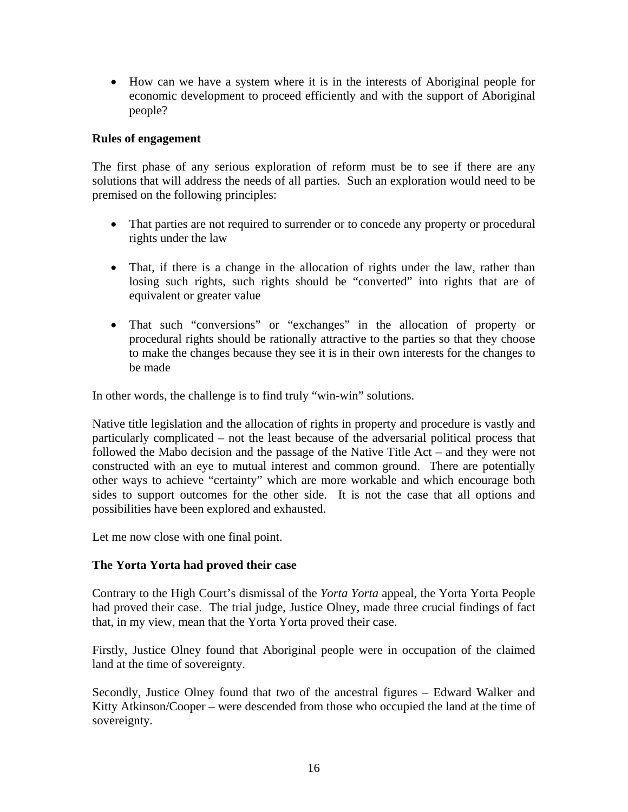• How can we have a system where it is in the interests of Aboriginal people for economic development to proceed efficiently and with the support of Aboriginal people?

#### **Rules of engagement**

The first phase of any serious exploration of reform must be to see if there are any solutions that will address the needs of all parties. Such an exploration would need to be premised on the following principles:

- That parties are not required to surrender or to concede any property or procedural rights under the law
- That, if there is a change in the allocation of rights under the law, rather than losing such rights, such rights should be "converted" into rights that are of equivalent or greater value
- That such "conversions" or "exchanges" in the allocation of property or procedural rights should be rationally attractive to the parties so that they choose to make the changes because they see it is in their own interests for the changes to be made

In other words, the challenge is to find truly "win-win" solutions.

Native title legislation and the allocation of rights in property and procedure is vastly and particularly complicated – not the least because of the adversarial political process that followed the Mabo decision and the passage of the Native Title Act – and they were not constructed with an eye to mutual interest and common ground. There are potentially other ways to achieve "certainty" which are more workable and which encourage both sides to support outcomes for the other side. It is not the case that all options and possibilities have been explored and exhausted.

Let me now close with one final point.

#### **The Yorta Yorta had proved their case**

Contrary to the High Court's dismissal of the *Yorta Yorta* appeal, the Yorta Yorta People had proved their case. The trial judge, Justice Olney, made three crucial findings of fact that, in my view, mean that the Yorta Yorta proved their case.

Firstly, Justice Olney found that Aboriginal people were in occupation of the claimed land at the time of sovereignty.

Secondly, Justice Olney found that two of the ancestral figures – Edward Walker and Kitty Atkinson/Cooper – were descended from those who occupied the land at the time of sovereignty.